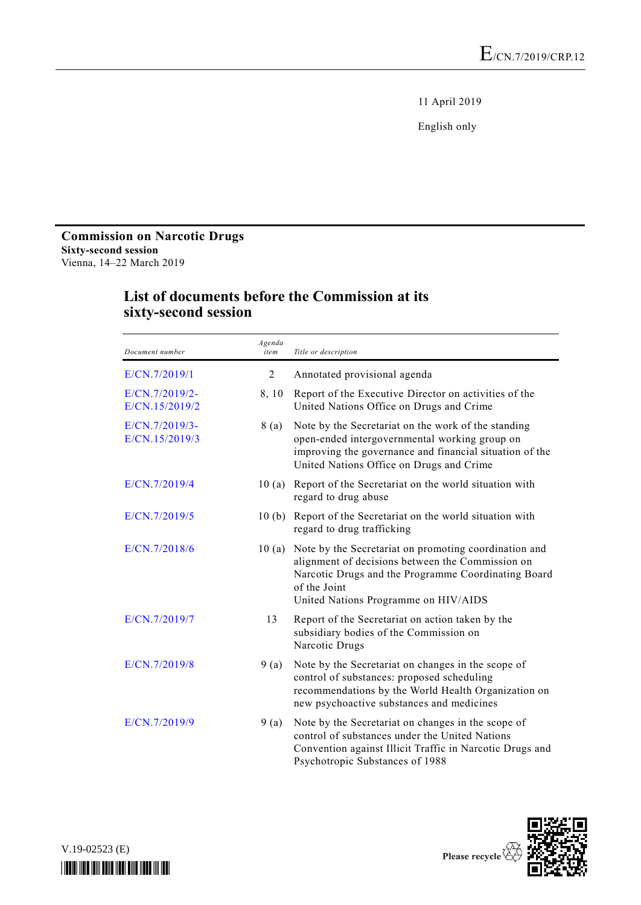11 April 2019

English only

## **Commission on Narcotic Drugs Sixty-second session** Vienna, 14–22 March 2019

| Document number                  | Agenda<br>item | Title or description                                                                                                                                                                                                     |
|----------------------------------|----------------|--------------------------------------------------------------------------------------------------------------------------------------------------------------------------------------------------------------------------|
| E/CN.7/2019/1                    | 2              | Annotated provisional agenda                                                                                                                                                                                             |
| E/CN.7/2019/2-<br>E/CN.15/2019/2 | 8,10           | Report of the Executive Director on activities of the<br>United Nations Office on Drugs and Crime                                                                                                                        |
| E/CN.7/2019/3-<br>E/CN.15/2019/3 | 8 (a)          | Note by the Secretariat on the work of the standing<br>open-ended intergovernmental working group on<br>improving the governance and financial situation of the<br>United Nations Office on Drugs and Crime              |
| E/CN.7/2019/4                    | 10(a)          | Report of the Secretariat on the world situation with<br>regard to drug abuse                                                                                                                                            |
| E/CN.7/2019/5                    |                | 10 (b) Report of the Secretariat on the world situation with<br>regard to drug trafficking                                                                                                                               |
| E/CN.7/2018/6                    | 10(a)          | Note by the Secretariat on promoting coordination and<br>alignment of decisions between the Commission on<br>Narcotic Drugs and the Programme Coordinating Board<br>of the Joint<br>United Nations Programme on HIV/AIDS |
| E/CN.7/2019/7                    | 13             | Report of the Secretariat on action taken by the<br>subsidiary bodies of the Commission on<br>Narcotic Drugs                                                                                                             |
| E/CN.7/2019/8                    | 9(a)           | Note by the Secretariat on changes in the scope of<br>control of substances: proposed scheduling<br>recommendations by the World Health Organization on<br>new psychoactive substances and medicines                     |
| E/CN.7/2019/9                    | 9(a)           | Note by the Secretariat on changes in the scope of<br>control of substances under the United Nations<br>Convention against Illicit Traffic in Narcotic Drugs and<br>Psychotropic Substances of 1988                      |

## **List of documents before the Commission at its sixty-second session**



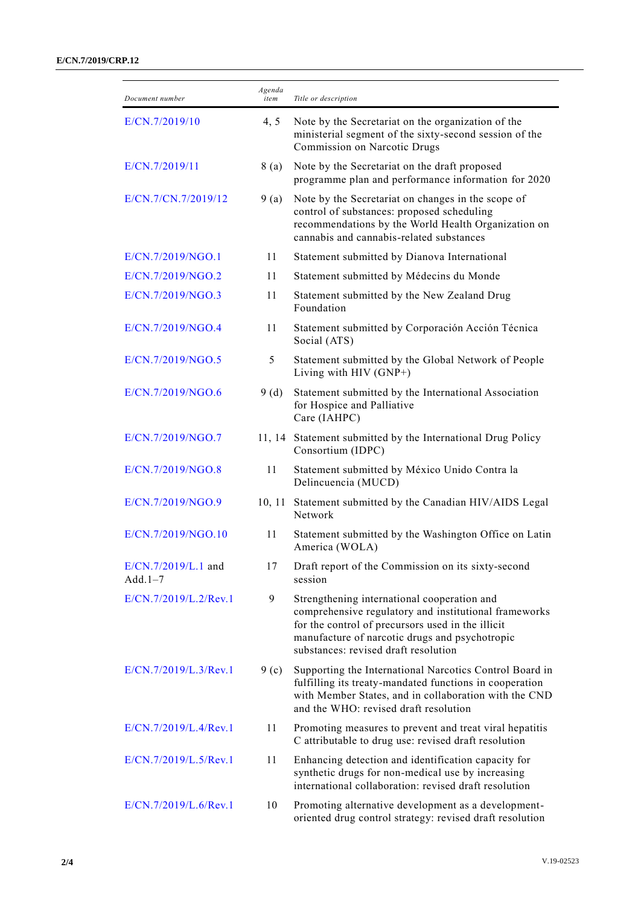## **E/CN.7/2019/CRP.12**

| Document number                  | Agenda<br>item | Title or description                                                                                                                                                                                                                                |
|----------------------------------|----------------|-----------------------------------------------------------------------------------------------------------------------------------------------------------------------------------------------------------------------------------------------------|
| E/CN.7/2019/10                   | 4, 5           | Note by the Secretariat on the organization of the<br>ministerial segment of the sixty-second session of the<br>Commission on Narcotic Drugs                                                                                                        |
| E/CN.7/2019/11                   | 8 (a)          | Note by the Secretariat on the draft proposed<br>programme plan and performance information for 2020                                                                                                                                                |
| E/CN.7/CN.7/2019/12              | 9(a)           | Note by the Secretariat on changes in the scope of<br>control of substances: proposed scheduling<br>recommendations by the World Health Organization on<br>cannabis and cannabis-related substances                                                 |
| E/CN.7/2019/NGO.1                | 11             | Statement submitted by Dianova International                                                                                                                                                                                                        |
| E/CN.7/2019/NGO.2                | 11             | Statement submitted by Médecins du Monde                                                                                                                                                                                                            |
| E/CN.7/2019/NGO.3                | 11             | Statement submitted by the New Zealand Drug<br>Foundation                                                                                                                                                                                           |
| E/CN.7/2019/NGO.4                | 11             | Statement submitted by Corporación Acción Técnica<br>Social (ATS)                                                                                                                                                                                   |
| E/CN.7/2019/NGO.5                | 5              | Statement submitted by the Global Network of People<br>Living with HIV (GNP+)                                                                                                                                                                       |
| E/CN.7/2019/NGO.6                | 9(d)           | Statement submitted by the International Association<br>for Hospice and Palliative<br>Care (IAHPC)                                                                                                                                                  |
| E/CN.7/2019/NGO.7                |                | 11, 14 Statement submitted by the International Drug Policy<br>Consortium (IDPC)                                                                                                                                                                    |
| E/CN.7/2019/NGO.8                | 11             | Statement submitted by México Unido Contra la<br>Delincuencia (MUCD)                                                                                                                                                                                |
| E/CN.7/2019/NGO.9                | 10, 11         | Statement submitted by the Canadian HIV/AIDS Legal<br>Network                                                                                                                                                                                       |
| E/CN.7/2019/NGO.10               | 11             | Statement submitted by the Washington Office on Latin<br>America (WOLA)                                                                                                                                                                             |
| E/CN.7/2019/L.1 and<br>$Add.1-7$ | 17             | Draft report of the Commission on its sixty-second<br>session                                                                                                                                                                                       |
| E/CN.7/2019/L.2/Rev.1            | 9              | Strengthening international cooperation and<br>comprehensive regulatory and institutional frameworks<br>for the control of precursors used in the illicit<br>manufacture of narcotic drugs and psychotropic<br>substances: revised draft resolution |
| E/CN.7/2019/L.3/Rev.1            | 9(c)           | Supporting the International Narcotics Control Board in<br>fulfilling its treaty-mandated functions in cooperation<br>with Member States, and in collaboration with the CND<br>and the WHO: revised draft resolution                                |
| E/CN.7/2019/L.4/Rev.1            | 11             | Promoting measures to prevent and treat viral hepatitis<br>C attributable to drug use: revised draft resolution                                                                                                                                     |
| E/CN.7/2019/L.5/Rev.1            | 11             | Enhancing detection and identification capacity for<br>synthetic drugs for non-medical use by increasing<br>international collaboration: revised draft resolution                                                                                   |
| E/CN.7/2019/L.6/Rev.1            | 10             | Promoting alternative development as a development-<br>oriented drug control strategy: revised draft resolution                                                                                                                                     |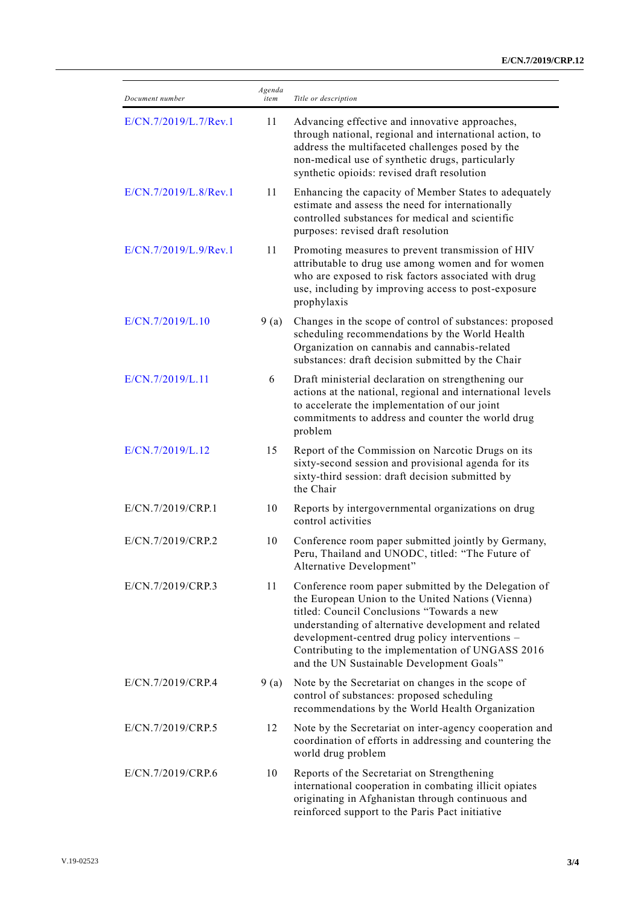| Document number       | Agenda<br>item | Title or description                                                                                                                                                                                                                                                                                                                                                 |
|-----------------------|----------------|----------------------------------------------------------------------------------------------------------------------------------------------------------------------------------------------------------------------------------------------------------------------------------------------------------------------------------------------------------------------|
| E/CN.7/2019/L.7/Rev.1 | 11             | Advancing effective and innovative approaches,<br>through national, regional and international action, to<br>address the multifaceted challenges posed by the<br>non-medical use of synthetic drugs, particularly<br>synthetic opioids: revised draft resolution                                                                                                     |
| E/CN.7/2019/L.8/Rev.1 | 11             | Enhancing the capacity of Member States to adequately<br>estimate and assess the need for internationally<br>controlled substances for medical and scientific<br>purposes: revised draft resolution                                                                                                                                                                  |
| E/CN.7/2019/L.9/Rev.1 | 11             | Promoting measures to prevent transmission of HIV<br>attributable to drug use among women and for women<br>who are exposed to risk factors associated with drug<br>use, including by improving access to post-exposure<br>prophylaxis                                                                                                                                |
| E/CN.7/2019/L.10      | 9(a)           | Changes in the scope of control of substances: proposed<br>scheduling recommendations by the World Health<br>Organization on cannabis and cannabis-related<br>substances: draft decision submitted by the Chair                                                                                                                                                      |
| E/CN.7/2019/L.11      | 6              | Draft ministerial declaration on strengthening our<br>actions at the national, regional and international levels<br>to accelerate the implementation of our joint<br>commitments to address and counter the world drug<br>problem                                                                                                                                    |
| E/CN.7/2019/L.12      | 15             | Report of the Commission on Narcotic Drugs on its<br>sixty-second session and provisional agenda for its<br>sixty-third session: draft decision submitted by<br>the Chair                                                                                                                                                                                            |
| E/CN.7/2019/CRP.1     | 10             | Reports by intergovernmental organizations on drug<br>control activities                                                                                                                                                                                                                                                                                             |
| E/CN.7/2019/CRP.2     | 10             | Conference room paper submitted jointly by Germany,<br>Peru, Thailand and UNODC, titled: "The Future of<br>Alternative Development"                                                                                                                                                                                                                                  |
| E/CN.7/2019/CRP.3     | 11             | Conference room paper submitted by the Delegation of<br>the European Union to the United Nations (Vienna)<br>titled: Council Conclusions "Towards a new<br>understanding of alternative development and related<br>development-centred drug policy interventions -<br>Contributing to the implementation of UNGASS 2016<br>and the UN Sustainable Development Goals" |
| E/CN.7/2019/CRP.4     | 9(a)           | Note by the Secretariat on changes in the scope of<br>control of substances: proposed scheduling<br>recommendations by the World Health Organization                                                                                                                                                                                                                 |
| E/CN.7/2019/CRP.5     | 12             | Note by the Secretariat on inter-agency cooperation and<br>coordination of efforts in addressing and countering the<br>world drug problem                                                                                                                                                                                                                            |
| E/CN.7/2019/CRP.6     | 10             | Reports of the Secretariat on Strengthening<br>international cooperation in combating illicit opiates<br>originating in Afghanistan through continuous and<br>reinforced support to the Paris Pact initiative                                                                                                                                                        |